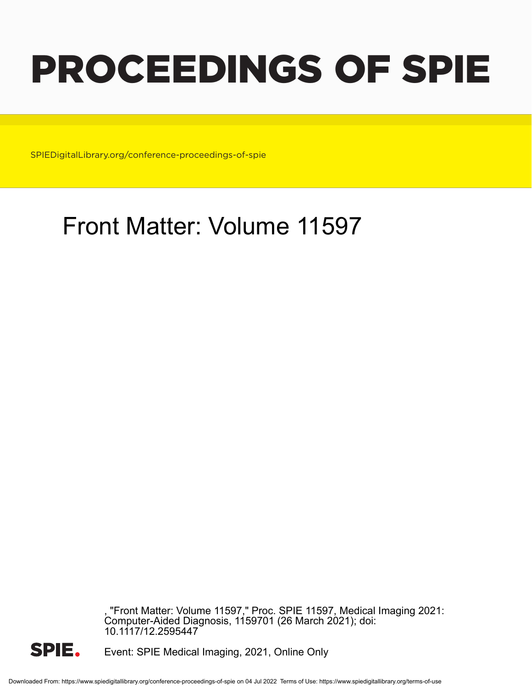# PROCEEDINGS OF SPIE

SPIEDigitalLibrary.org/conference-proceedings-of-spie

# Front Matter: Volume 11597

, "Front Matter: Volume 11597," Proc. SPIE 11597, Medical Imaging 2021: Computer-Aided Diagnosis, 1159701 (26 March 2021); doi: 10.1117/12.2595447



Event: SPIE Medical Imaging, 2021, Online Only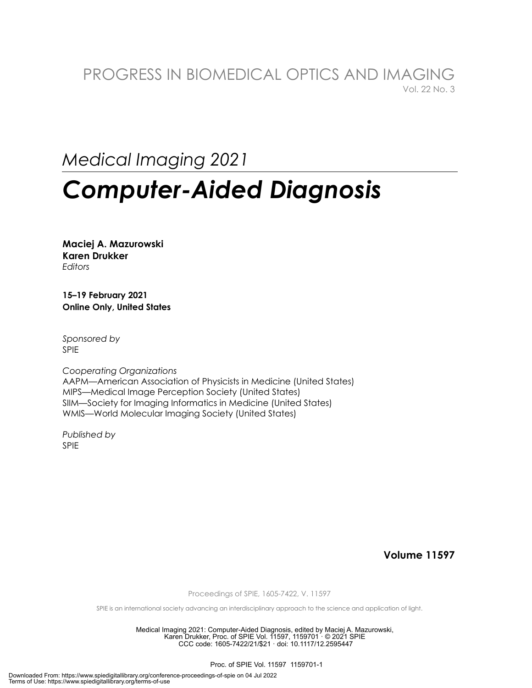# PROGRESS IN BIOMEDICAL OPTICS AND IMAGING Vol. 22 No. 3

# *Medical Imaging 2021*

# *Computer-Aided Diagnosis*

**Maciej A. Mazurowski Karen Drukker**  *Editors* 

**15–19 February 2021 Online Only, United States** 

*Sponsored by*  SPIE

*Cooperating Organizations*  AAPM—American Association of Physicists in Medicine (United States) MIPS—Medical Image Perception Society (United States) SIIM—Society for Imaging Informatics in Medicine (United States) WMIS—World Molecular Imaging Society (United States)

*Published by* SPIE

**Volume 11597** 

Proceedings of SPIE, 1605-7422, V. 11597

SPIE is an international society advancing an interdisciplinary approach to the science and application of light.

Medical Imaging 2021: Computer-Aided Diagnosis, edited by Maciej A. Mazurowski, Karen Drukker, Proc. of SPIE Vol. 11597, 1159701 · © 2021 SPIE CCC code: 1605-7422/21/\$21 · doi: 10.1117/12.2595447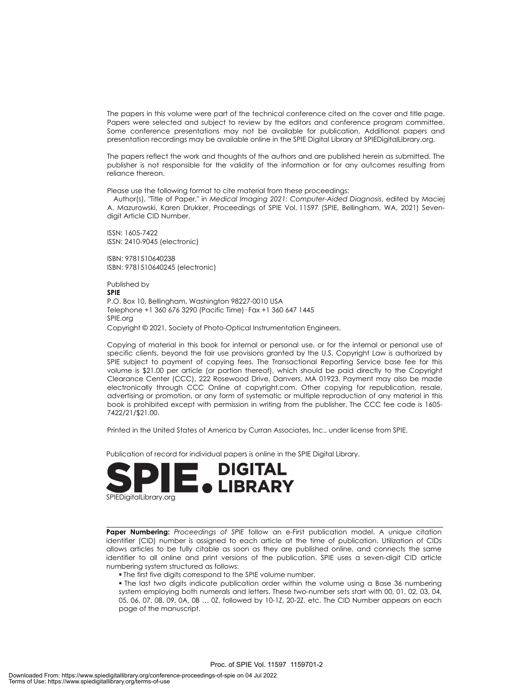The papers in this volume were part of the technical conference cited on the cover and title page. Papers were selected and subject to review by the editors and conference program committee. Some conference presentations may not be available for publication. Additional papers and presentation recordings may be available online in the SPIE Digital Library at SPIEDigitalLibrary.org.

The papers reflect the work and thoughts of the authors and are published herein as submitted. The publisher is not responsible for the validity of the information or for any outcomes resulting from reliance thereon.

Please use the following format to cite material from these proceedings:

 Author(s), "Title of Paper," in *Medical Imaging 2021: Computer-Aided Diagnosis*, edited by Maciej A. Mazurowski, Karen Drukker, Proceedings of SPIE Vol. 11597 (SPIE, Bellingham, WA, 2021) Sevendigit Article CID Number.

ISSN: 1605-7422 ISSN: 2410-9045 (electronic)

ISBN: 9781510640238 ISBN: 9781510640245 (electronic)

Published by **SPIE**  P.O. Box 10, Bellingham, Washington 98227-0010 USA Telephone +1 360 676 3290 (Pacific Time)· Fax +1 360 647 1445 SPIE.org Copyright © 2021, Society of Photo-Optical Instrumentation Engineers.

Copying of material in this book for internal or personal use, or for the internal or personal use of specific clients, beyond the fair use provisions granted by the U.S. Copyright Law is authorized by SPIE subject to payment of copying fees. The Transactional Reporting Service base fee for this volume is \$21.00 per article (or portion thereof), which should be paid directly to the Copyright Clearance Center (CCC), 222 Rosewood Drive, Danvers, MA 01923. Payment may also be made electronically through CCC Online at copyright.com. Other copying for republication, resale, advertising or promotion, or any form of systematic or multiple reproduction of any material in this book is prohibited except with permission in writing from the publisher. The CCC fee code is 1605- 7422/21/\$21.00.

Printed in the United States of America by Curran Associates, Inc., under license from SPIE.

Publication of record for individual papers is online in the SPIE Digital Library.



**Paper Numbering:** *Proceedings of SPIE* follow an e-First publication model. A unique citation identifier (CID) number is assigned to each article at the time of publication. Utilization of CIDs allows articles to be fully citable as soon as they are published online, and connects the same identifier to all online and print versions of the publication. SPIE uses a seven-digit CID article numbering system structured as follows:

The first five digits correspond to the SPIE volume number.

 The last two digits indicate publication order within the volume using a Base 36 numbering system employing both numerals and letters. These two-number sets start with 00, 01, 02, 03, 04, 05, 06, 07, 08, 09, 0A, 0B … 0Z, followed by 10-1Z, 20-2Z, etc. The CID Number appears on each page of the manuscript.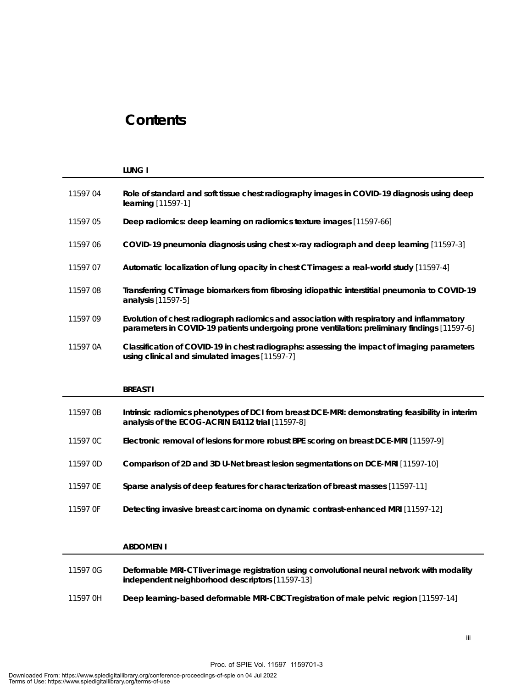# **Contents**

|          | <b>LUNG I</b>                                                                                                                                                                             |
|----------|-------------------------------------------------------------------------------------------------------------------------------------------------------------------------------------------|
| 1159704  | Role of standard and soft tissue chest radiography images in COVID-19 diagnosis using deep<br>learning [11597-1]                                                                          |
| 1159705  | Deep radiomics: deep learning on radiomics texture images [11597-66]                                                                                                                      |
| 1159706  | COVID-19 pneumonia diagnosis using chest x-ray radiograph and deep learning [11597-3]                                                                                                     |
| 11597 07 | Automatic localization of lung opacity in chest CT images: a real-world study [11597-4]                                                                                                   |
| 1159708  | Transferring CT image biomarkers from fibrosing idiopathic interstitial pneumonia to COVID-19<br>analysis [11597-5]                                                                       |
| 1159709  | Evolution of chest radiograph radiomics and association with respiratory and inflammatory<br>parameters in COVID-19 patients undergoing prone ventilation: preliminary findings [11597-6] |
| 11597 0A | Classification of COVID-19 in chest radiographs: assessing the impact of imaging parameters<br>using clinical and simulated images [11597-7]                                              |
|          |                                                                                                                                                                                           |
|          | <b>BREAST I</b>                                                                                                                                                                           |
| 11597 0B | Intrinsic radiomics phenotypes of DCI from breast DCE-MRI: demonstrating feasibility in interim<br>analysis of the ECOG-ACRIN E4112 trial [11597-8]                                       |
| 11597 0C | Electronic removal of lesions for more robust BPE scoring on breast DCE-MRI [11597-9]                                                                                                     |
| 11597 OD | Comparison of 2D and 3D U-Net breast lesion segmentations on DCE-MRI [11597-10]                                                                                                           |
| 11597 OE | Sparse analysis of deep features for characterization of breast masses [11597-11]                                                                                                         |
| 11597 OF | Detecting invasive breast carcinoma on dynamic contrast-enhanced MRI [11597-12]                                                                                                           |

|          | <b>ABDOMEN I</b>                                                                                                                               |
|----------|------------------------------------------------------------------------------------------------------------------------------------------------|
| 11597 OG | Deformable MRI-CT liver image registration using convolutional neural network with modality<br>independent neighborhood descriptors [11597-13] |
| 11597 OH | Deep learning-based deformable MRI-CBCT registration of male pelvic region [11597-14]                                                          |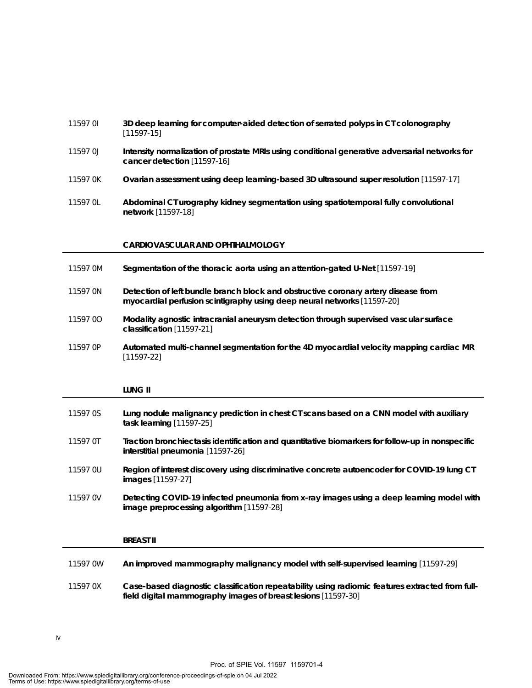# 11597 0I **3D deep learning for computer-aided detection of serrated polyps in CT colonography** [11597-15] 11597 0J **Intensity normalization of prostate MRIs using conditional generative adversarial networks for cancer detection** [11597-16] 11597 0K **Ovarian assessment using deep learning-based 3D ultrasound super resolution** [11597-17] 11597 0L **Abdominal CT urography kidney segmentation using spatiotemporal fully convolutional**

## **CARDIOVASCULAR AND OPHTHALMOLOGY**

**network** [11597-18]

- 11597 0M **Segmentation of the thoracic aorta using an attention-gated U-Net** [11597-19]
- 11597 0N **Detection of left bundle branch block and obstructive coronary artery disease from myocardial perfusion scintigraphy using deep neural networks** [11597-20]
- 11597 0O **Modality agnostic intracranial aneurysm detection through supervised vascular surface classification** [11597-21]
- 11597 0P **Automated multi-channel segmentation for the 4D myocardial velocity mapping cardiac MR** [11597-22]

#### **LUNG II**

| 11597 0S | Lung nodule malignancy prediction in chest CT scans based on a CNN model with auxiliary<br>task learning [11597-25]                  |
|----------|--------------------------------------------------------------------------------------------------------------------------------------|
| 11597 OT | Traction bronchiectasis identification and quantitative biomarkers for follow-up in nonspecific<br>interstitial pneumonia [11597-26] |
| 11597 OU | Region of interest discovery using discriminative concrete autoencoder for COVID-19 lung CT<br><b>images</b> [11597-27]              |
| 11597 0V | Detecting COVID-19 infected pneumonia from x-ray images using a deep learning model with<br>image preprocessing algorithm [11597-28] |
|          |                                                                                                                                      |

# **BREAST II**

| 11597 0W | An improved mammography malignancy model with self-supervised learning [11597-29] |
|----------|-----------------------------------------------------------------------------------|
|          |                                                                                   |

11597 0X **Case-based diagnostic classification repeatability using radiomic features extracted from fullfield digital mammography images of breast lesions** [11597-30]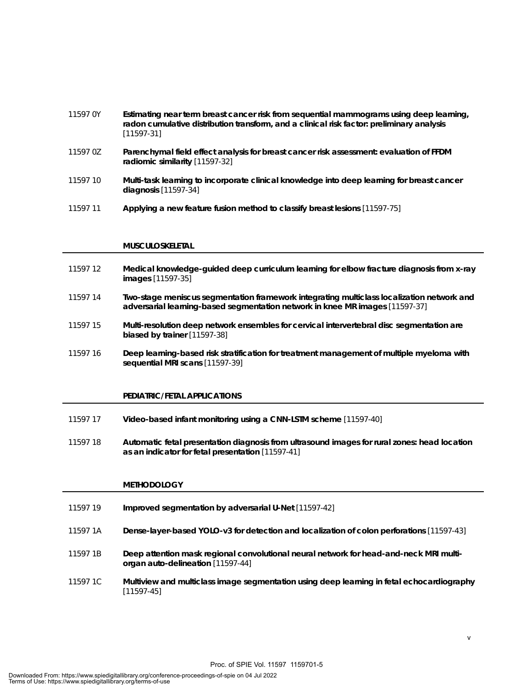# 11597 0Y **Estimating near term breast cancer risk from sequential mammograms using deep learning, radon cumulative distribution transform, and a clinical risk factor: preliminary analysis** [11597-31]

- 11597 0Z **Parenchymal field effect analysis for breast cancer risk assessment: evaluation of FFDM radiomic similarity** [11597-32]
- 11597 10 **Multi-task learning to incorporate clinical knowledge into deep learning for breast cancer diagnosis** [11597-34]
- 11597 11 **Applying a new feature fusion method to classify breast lesions** [11597-75]

### **MUSCULOSKELETAL**

- 11597 12 **Medical knowledge-guided deep curriculum learning for elbow fracture diagnosis from x-ray images** [11597-35]
- 11597 14 **Two-stage meniscus segmentation framework integrating multiclass localization network and adversarial learning-based segmentation network in knee MR images** [11597-37]
- 11597 15 **Multi-resolution deep network ensembles for cervical intervertebral disc segmentation are biased by trainer** [11597-38]
- 11597 16 **Deep learning-based risk stratification for treatment management of multiple myeloma with sequential MRI scans** [11597-39]

#### **PEDIATRIC/FETAL APPLICATIONS**

- 11597 17 **Video-based infant monitoring using a CNN-LSTM scheme** [11597-40]
- 11597 18 **Automatic fetal presentation diagnosis from ultrasound images for rural zones: head location as an indicator for fetal presentation** [11597-41]

## **METHODOLOGY**

| 11597 19 | Improved segmentation by adversarial U-Net [11597-42]                                                                       |
|----------|-----------------------------------------------------------------------------------------------------------------------------|
| 11597 1A | Dense-layer-based YOLO-v3 for detection and localization of colon perforations [11597-43]                                   |
| 11597 1B | Deep attention mask regional convolutional neural network for head-and-neck MRI multi-<br>organ auto-delineation [11597-44] |
| 11597 1C | Multiview and multiclass image segmentation using deep learning in fetal echocardiography<br>$[11597-45]$                   |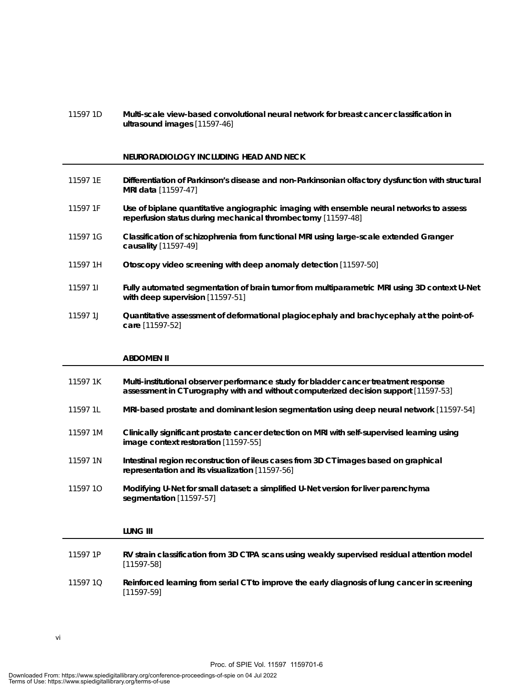11597 1D **Multi-scale view-based convolutional neural network for breast cancer classification in ultrasound images** [11597-46]

### **NEURORADIOLOGY INCLUDING HEAD AND NECK**

- 11597 1E **Differentiation of Parkinson's disease and non-Parkinsonian olfactory dysfunction with structural MRI data** [11597-47]
- 11597 1F **Use of biplane quantitative angiographic imaging with ensemble neural networks to assess reperfusion status during mechanical thrombectomy** [11597-48]
- 11597 1G **Classification of schizophrenia from functional MRI using large-scale extended Granger causality** [11597-49]
- 11597 1H **Otoscopy video screening with deep anomaly detection** [11597-50]
- 11597 1I **Fully automated segmentation of brain tumor from multiparametric MRI using 3D context U-Net with deep supervision** [11597-51]
- 11597 1J **Quantitative assessment of deformational plagiocephaly and brachycephaly at the point-ofcare** [11597-52]

#### **ABDOMEN II**

- 11597 1K **Multi-institutional observer performance study for bladder cancer treatment response assessment in CT urography with and without computerized decision support** [11597-53] 11597 1L **MRI-based prostate and dominant lesion segmentation using deep neural network** [11597-54] 11597 1M **Clinically significant prostate cancer detection on MRI with self-supervised learning using image context restoration** [11597-55] 11597 1N **Intestinal region reconstruction of ileus cases from 3D CT images based on graphical representation and its visualization** [11597-56] 11597 1O **Modifying U-Net for small dataset: a simplified U-Net version for liver parenchyma segmentation** [11597-57] **LUNG III** 11597 1P **RV strain classification from 3D CTPA scans using weakly supervised residual attention model** [11597-58]
- 11597 1Q **Reinforced learning from serial CT to improve the early diagnosis of lung cancer in screening** [11597-59]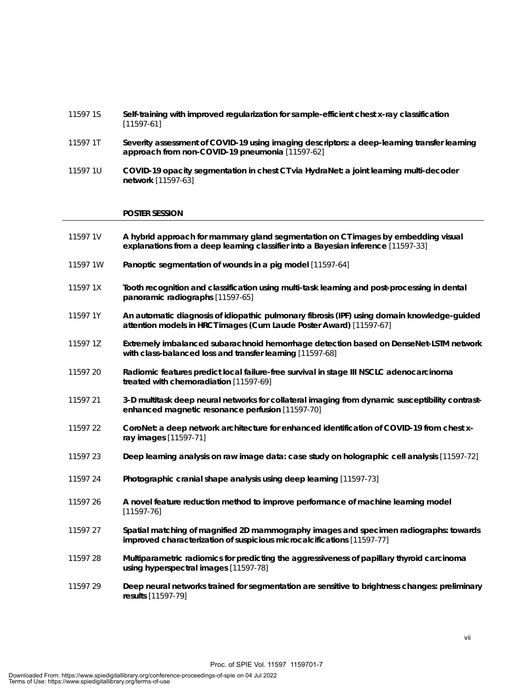| 11597 1S | Self-training with improved regularization for sample-efficient chest x-ray classification |
|----------|--------------------------------------------------------------------------------------------|
|          | [11597-61]                                                                                 |

- 11597 1T **Severity assessment of COVID-19 using imaging descriptors: a deep-learning transfer learning approach from non-COVID-19 pneumonia** [11597-62]
- 11597 1U **COVID-19 opacity segmentation in chest CT via HydraNet: a joint learning multi-decoder network** [11597-63]

#### **POSTER SESSION**

| 11597 1V | A hybrid approach for mammary gland segmentation on CT images by embedding visual<br>explanations from a deep learning classifier into a Bayesian inference [11597-33] |
|----------|------------------------------------------------------------------------------------------------------------------------------------------------------------------------|
| 11597 1W | Panoptic segmentation of wounds in a pig model [11597-64]                                                                                                              |
| 11597 1X | Tooth recognition and classification using multi-task learning and post-processing in dental<br>panoramic radiographs [11597-65]                                       |
| 11597 1Y | An automatic diagnosis of idiopathic pulmonary fibrosis (IPF) using domain knowledge-guided<br>attention models in HRCT images (Cum Laude Poster Award) [11597-67]     |
| 11597 1Z | Extremely imbalanced subarachnoid hemorrhage detection based on DenseNet-LSTM network<br>with class-balanced loss and transfer learning [11597-68]                     |
| 11597 20 | Radiomic features predict local failure-free survival in stage III NSCLC adenocarcinoma<br>treated with chemoradiation [11597-69]                                      |
| 11597 21 | 3-D multitask deep neural networks for collateral imaging from dynamic susceptibility contrast-<br>enhanced magnetic resonance perfusion [11597-70]                    |
| 11597 22 | CoroNet: a deep network architecture for enhanced identification of COVID-19 from chest x-<br>ray images [11597-71]                                                    |
| 11597 23 | Deep learning analysis on raw image data: case study on holographic cell analysis [11597-72]                                                                           |
| 11597 24 | Photographic cranial shape analysis using deep learning [11597-73]                                                                                                     |
| 11597 26 | A novel feature reduction method to improve performance of machine learning model<br>$[11597 - 76]$                                                                    |
| 11597 27 | Spatial matching of magnified 2D mammography images and specimen radiographs: towards<br>improved characterization of suspicious microcalcifications [11597-77]        |
| 11597 28 | Multiparametric radiomics for predicting the aggressiveness of papillary thyroid carcinoma<br>using hyperspectral images [11597-78]                                    |
| 11597 29 | Deep neural networks trained for segmentation are sensitive to brightness changes: preliminary<br>results [11597-79]                                                   |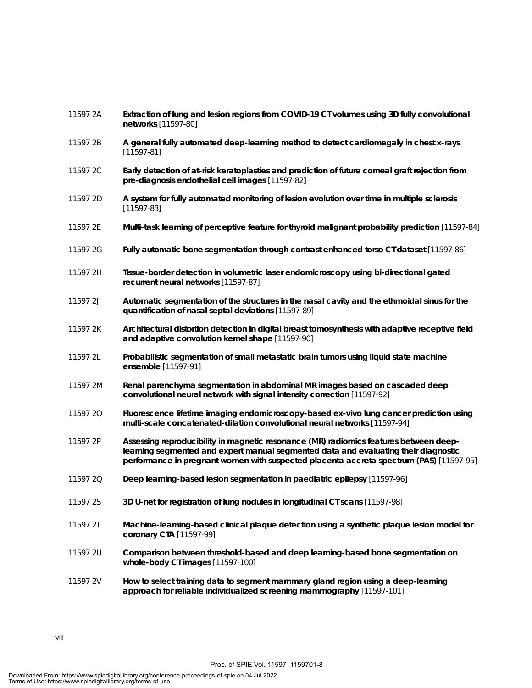| 11597 2A | Extraction of lung and lesion regions from COVID-19 CT volumes using 3D fully convolutional<br>networks [11597-80]                                                                                                                                                      |
|----------|-------------------------------------------------------------------------------------------------------------------------------------------------------------------------------------------------------------------------------------------------------------------------|
| 11597 2B | A general fully automated deep-learning method to detect cardiomegaly in chest x-rays<br>$[11597-81]$                                                                                                                                                                   |
| 11597 2C | Early detection of at-risk keratoplasties and prediction of future corneal graft rejection from<br>pre-diagnosis endothelial cell images [11597-82]                                                                                                                     |
| 11597 2D | A system for fully automated monitoring of lesion evolution over time in multiple sclerosis<br>$[11597 - 83]$                                                                                                                                                           |
| 11597 2E | Multi-task learning of perceptive feature for thyroid malignant probability prediction [11597-84]                                                                                                                                                                       |
| 11597 2G | Fully automatic bone segmentation through contrast enhanced torso CT dataset [11597-86]                                                                                                                                                                                 |
| 11597 2H | Tissue-border detection in volumetric laser endomicroscopy using bi-directional gated<br>recurrent neural networks [11597-87]                                                                                                                                           |
| 11597 2J | Automatic segmentation of the structures in the nasal cavity and the ethmoidal sinus for the<br>quantification of nasal septal deviations [11597-89]                                                                                                                    |
| 11597 2K | Architectural distortion detection in digital breast tomosynthesis with adaptive receptive field<br>and adaptive convolution kernel shape [11597-90]                                                                                                                    |
| 11597 2L | Probabilistic segmentation of small metastatic brain tumors using liquid state machine<br>ensemble [11597-91]                                                                                                                                                           |
| 11597 2M | Renal parenchyma segmentation in abdominal MR images based on cascaded deep<br>convolutional neural network with signal intensity correction [11597-92]                                                                                                                 |
| 11597 2O | Fluorescence lifetime imaging endomicroscopy-based ex-vivo lung cancer prediction using<br>multi-scale concatenated-dilation convolutional neural networks [11597-94]                                                                                                   |
| 11597 2P | Assessing reproducibility in magnetic resonance (MR) radiomics features between deep-<br>learning segmented and expert manual segmented data and evaluating their diagnostic<br>performance in pregnant women with suspected placenta accreta spectrum (PAS) [11597-95] |
| 11597 2Q | Deep learning-based lesion segmentation in paediatric epilepsy [11597-96]                                                                                                                                                                                               |
| 11597 2S | 3D U-net for registration of lung nodules in longitudinal CT scans [11597-98]                                                                                                                                                                                           |
| 11597 2T | Machine-learning-based clinical plaque detection using a synthetic plaque lesion model for<br>coronary CTA [11597-99]                                                                                                                                                   |
| 11597 2U | Comparison between threshold-based and deep learning-based bone segmentation on<br>whole-body CT images [11597-100]                                                                                                                                                     |
| 11597 2V | How to select training data to segment mammary gland region using a deep-learning<br>approach for reliable individualized screening mammography [11597-101]                                                                                                             |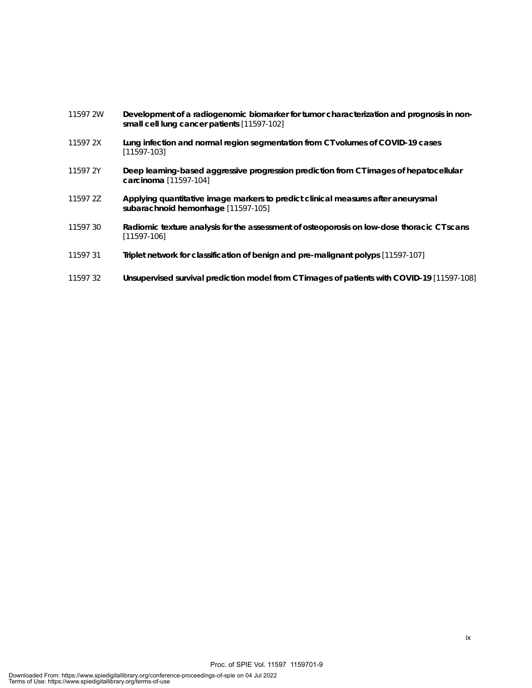- 11597 2W **Development of a radiogenomic biomarker for tumor characterization and prognosis in nonsmall cell lung cancer patients** [11597-102]
- 11597 2X **Lung infection and normal region segmentation from CT volumes of COVID-19 cases** [11597-103]
- 11597 2Y **Deep learning-based aggressive progression prediction from CT images of hepatocellular carcinoma** [11597-104]
- 11597 2Z **Applying quantitative image markers to predict clinical measures after aneurysmal subarachnoid hemorrhage** [11597-105]
- 11597 30 **Radiomic texture analysis for the assessment of osteoporosis on low-dose thoracic CT scans** [11597-106]
- 11597 31 **Triplet network for classification of benign and pre-malignant polyps** [11597-107]
- 11597 32 **Unsupervised survival prediction model from CT images of patients with COVID-19** [11597-108]